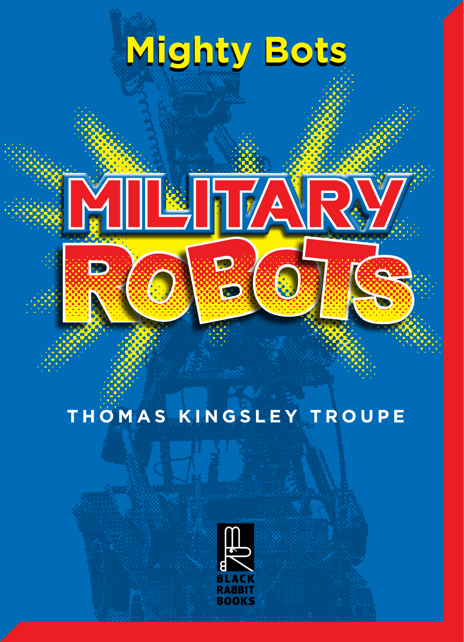# **Mighty Bots Mighty Bots**



### **THOMAS KINGSLEY TROUPE**

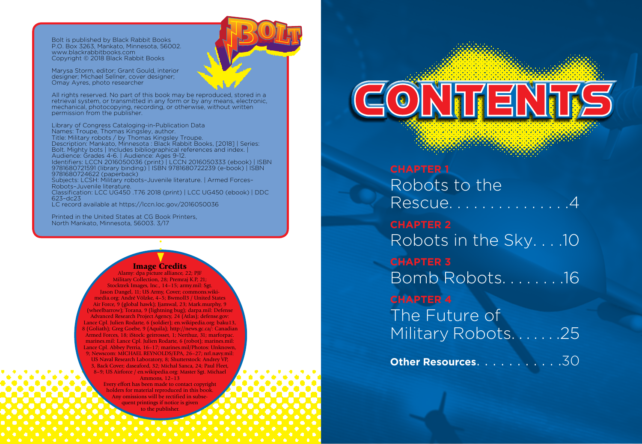Bolt is published by Black Rabbit Books P.O. Box 3263, Mankato, Minnesota, 56002. www.blackrabbitbooks.com Copyright © 2018 Black Rabbit Books

Marysa Storm, editor; Grant Gould, interior designer; Michael Sellner, cover designer; Omay Ayres, photo researcher

All rights reserved. No part of this book may be reproduced, stored in a retrieval system, or transmitted in any form or by any means, electronic, mechanical, photocopying, recording, or otherwise, without written permission from the publisher.

Library of Congress Cataloging-in-Publication Data Names: Troupe, Thomas Kingsley, author. Title: Military robots / by Thomas Kingsley Troupe. Description: Mankato, Minnesota : Black Rabbit Books, [2018] | Series: Bolt. Mighty bots | Includes bibliographical references and index. | Audience: Grades 4-6. | Audience: Ages 9-12. Identifiers: LCCN 2016050036 (print) | LCCN 2016050333 (ebook) | ISBN 9781680721591 (library binding) | ISBN 9781680722239 (e-book) | ISBN 9781680724622 (paperback) Subjects: LCSH: Military robots–Juvenile literature. | Armed Forces– Robots–Juvenile literature. Classification: LCC UG450 .T76 2018 (print) | LCC UG450 (ebook) | DDC 623–dc23 LC record available at https://lccn.loc.gov/2016050036

Printed in the United States at CG Book Printers, North Mankato, Minnesota, 56003. 3/17

#### Image Credits

Alamy: dpa picture alliance, 22; PJF Military Collection, 28; Premraj K.P, 21; Stocktrek Images, Inc., 14–15; army.mil: Sgt. Jason Dangel, 11; US Army, Cover; commons.wikimedia.org: André Völzke, 4–5; Bwmoll3 / United States Air Force, 9 (global hawk); Jjamwal, 23; Mark.murphy, 9 (wheelbarrow); Torana, 9 (lightning bug); darpa.mil: Defense Advanced Research Project Agency, 24 (Atlas); defense.gov: Lance Cpl. Julien Rodarte, 6 (soldier); en.wikipedia.org: baku13, 8 (Goliath); Greg Goebe, 9 (Aquila); http://news.gc.ca/: Canadian Armed Forces, 18; iStock: geirrosset, 1; Nerthuz, 31; marforpac. marines.mil: Lance Cpl. Julien Rodarte, 6 (robot); marines.mil: Lance Cpl. Abbey Perria, 16–17; marines.mil/Photos: Unknown, 9; Newscom: MICHAEL REYNOLDS/EPA, 26–27; nrl.navy.mil: US Naval Research Laboratory, 8; Shutterstock: Andrey VP, 3, Back Cover; daseaford, 32; Michal Sanca, 24; Paul Fleet, 8–9; US Airforce / en.wikipedia.org: Master Sgt. Michael Ammons, 12–13

> Every effort has been made to contact copyright holders for material reproduced in this book. Any omissions will be rectified in subse quent printings if notice is given to the publisher.

 $\text{Cov}$ 

**CHAPTER 1** Robots to the Rescue..............4 **CHAPTER 2** Robots in the Sky. . . .10 **CHAPTER 3** Bomb Robots. . . . . . . .16 **CHAPTER 4** The Future of Military Robots. . . . . . . 25

**Other Resources.** . . . . . . . . . . 30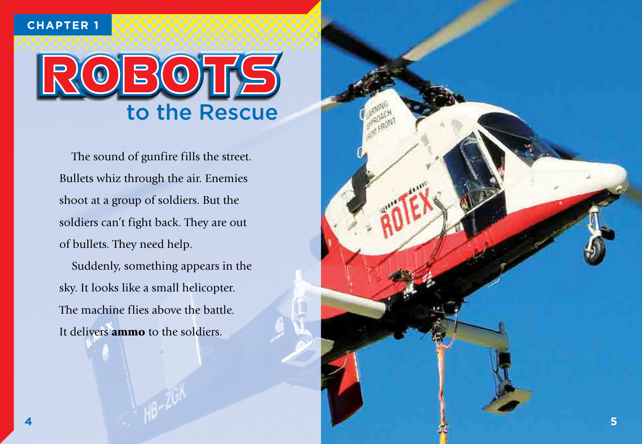**CHAPTER 1**



The sound of gunfire fills the street. Bullets whiz through the air. Enemies shoot at a group of soldiers. But the soldiers can't fight back. They are out of bullets. They need help.

Suddenly, something appears in the sky. It looks like a small helicopter. The machine flies above the battle. It delivers **ammo** to the soldiers.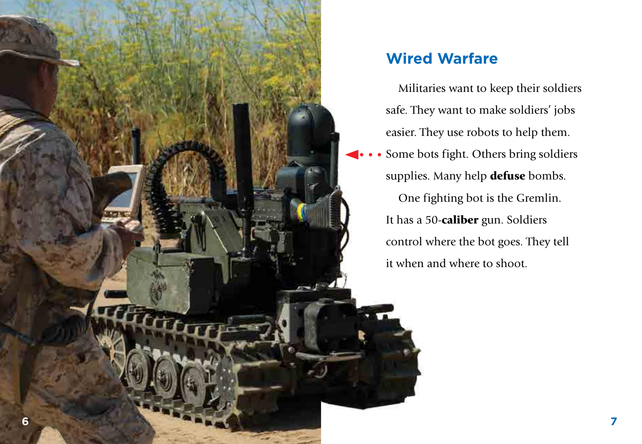

# **Wired Warfare**

Militaries want to keep their soldiers safe. They want to make soldiers' jobs easier. They use robots to help them.

Some bots fight. Others bring soldiers supplies. Many help defuse bombs. One fighting bot is the Gremlin. It has a 50-caliber gun. Soldiers control where the bot goes. They tell it when and where to shoot.